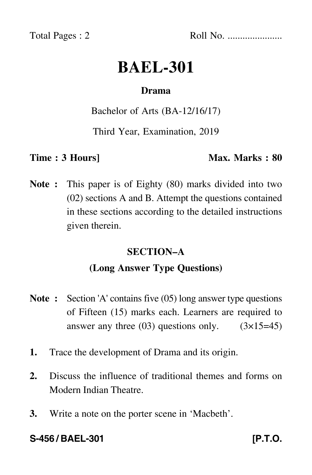Total Pages : 2 Roll No. ......................

# **BAEL-301**

# **Drama**

### Bachelor of Arts (BA-12/16/17)

Third Year, Examination, 2019

#### **Time : 3 Hours]** Max. Marks : 80

**Note :** This paper is of Eighty (80) marks divided into two (02) sections A and B. Attempt the questions contained in these sections according to the detailed instructions given therein.

# **SECTION–A**

# **(Long Answer Type Questions)**

- **Note :** Section 'A' contains five (05) long answer type questions of Fifteen (15) marks each. Learners are required to answer any three  $(03)$  questions only.  $(3\times15=45)$
- **1.** Trace the development of Drama and its origin.
- **2.** Discuss the influence of traditional themes and forms on Modern Indian Theatre.
- **3.** Write a note on the porter scene in 'Macbeth'.

**S-456 / BAEL-301 [P.T.O.**